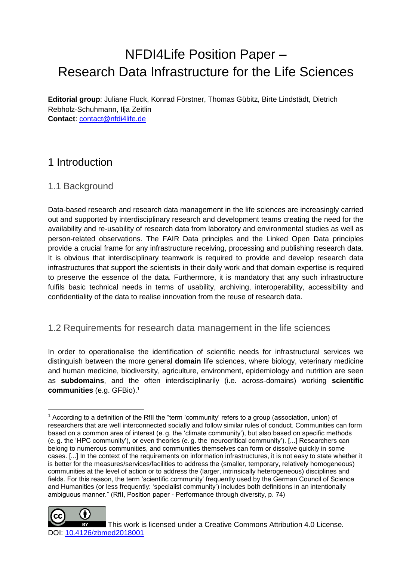# NFDI4Life Position Paper – Research Data Infrastructure for the Life Sciences

**Editorial group**: Juliane Fluck, Konrad Förstner, Thomas Gübitz, Birte Lindstädt, Dietrich Rebholz-Schuhmann, Ilja Zeitlin **Contact**: [contact@nfdi4life.de](mailto:contact@nfdi4life.de)

## 1 Introduction

#### 1.1 Background

Data-based research and research data management in the life sciences are increasingly carried out and supported by interdisciplinary research and development teams creating the need for the availability and re-usability of research data from laboratory and environmental studies as well as person-related observations. The FAIR Data principles and the Linked Open Data principles provide a crucial frame for any infrastructure receiving, processing and publishing research data. It is obvious that interdisciplinary teamwork is required to provide and develop research data infrastructures that support the scientists in their daily work and that domain expertise is required to preserve the essence of the data. Furthermore, it is mandatory that any such infrastructure fulfils basic technical needs in terms of usability, archiving, interoperability, accessibility and confidentiality of the data to realise innovation from the reuse of research data.

#### 1.2 Requirements for research data management in the life sciences

In order to operationalise the identification of scientific needs for infrastructural services we distinguish between the more general **domain** life sciences, where biology, veterinary medicine and human medicine, biodiversity, agriculture, environment, epidemiology and nutrition are seen as **subdomains**, and the often interdisciplinarily (i.e. across-domains) working **scientific communities** (e.g. GFBio).<sup>1</sup>

 $<sup>1</sup>$  According to a definition of the RfII the "term 'community' refers to a group (association, union) of</sup> researchers that are well interconnected socially and follow similar rules of conduct. Communities can form based on a common area of interest (e.g. the 'climate community'), but also based on specific methods (e. g. the 'HPC community'), or even theories (e. g. the 'neurocritical community'). [...] Researchers can belong to numerous communities, and communities themselves can form or dissolve quickly in some cases. [...] In the context of the requirements on information infrastructures, it is not easy to state whether it is better for the measures/services/facilities to address the (smaller, temporary, relatively homogeneous) communities at the level of action or to address the (larger, intrinsically heterogeneous) disciplines and fields. For this reason, the term 'scientific community' frequently used by the German Council of Science and Humanities (or less frequently: 'specialist community') includes both definitions in an intentionally ambiguous manner." (RfII, Position paper - Performance through diversity, p. 74)



-

This work is licensed under a Creative Commons Attribution 4.0 License. DOI: [10.4126/zbmed2018001](https://doi.org/10.4126/zbmed2018001)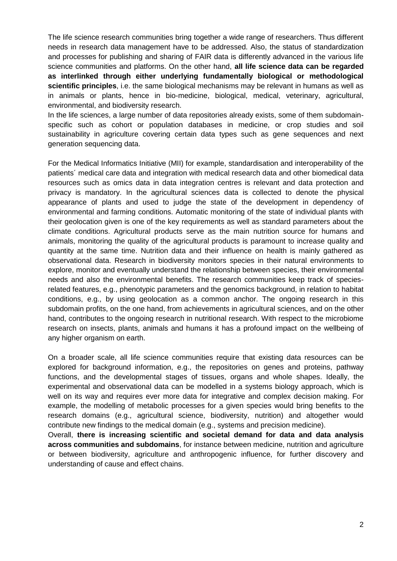The life science research communities bring together a wide range of researchers. Thus different needs in research data management have to be addressed. Also, the status of standardization and processes for publishing and sharing of FAIR data is differently advanced in the various life science communities and platforms. On the other hand, **all life science data can be regarded as interlinked through either underlying fundamentally biological or methodological scientific principles**, i.e. the same biological mechanisms may be relevant in humans as well as in animals or plants, hence in bio-medicine, biological, medical, veterinary, agricultural, environmental, and biodiversity research.

In the life sciences, a large number of data repositories already exists, some of them subdomainspecific such as cohort or population databases in medicine, or crop studies and soil sustainability in agriculture covering certain data types such as gene sequences and next generation sequencing data.

For the Medical Informatics Initiative (MII) for example, standardisation and interoperability of the patients´ medical care data and integration with medical research data and other biomedical data resources such as omics data in data integration centres is relevant and data protection and privacy is mandatory. In the agricultural sciences data is collected to denote the physical appearance of plants and used to judge the state of the development in dependency of environmental and farming conditions. Automatic monitoring of the state of individual plants with their geolocation given is one of the key requirements as well as standard parameters about the climate conditions. Agricultural products serve as the main nutrition source for humans and animals, monitoring the quality of the agricultural products is paramount to increase quality and quantity at the same time. Nutrition data and their influence on health is mainly gathered as observational data. Research in biodiversity monitors species in their natural environments to explore, monitor and eventually understand the relationship between species, their environmental needs and also the environmental benefits. The research communities keep track of speciesrelated features, e.g., phenotypic parameters and the genomics background, in relation to habitat conditions, e.g., by using geolocation as a common anchor. The ongoing research in this subdomain profits, on the one hand, from achievements in agricultural sciences, and on the other hand, contributes to the ongoing research in nutritional research. With respect to the microbiome research on insects, plants, animals and humans it has a profound impact on the wellbeing of any higher organism on earth.

On a broader scale, all life science communities require that existing data resources can be explored for background information, e.g., the repositories on genes and proteins, pathway functions, and the developmental stages of tissues, organs and whole shapes. Ideally, the experimental and observational data can be modelled in a systems biology approach, which is well on its way and requires ever more data for integrative and complex decision making. For example, the modelling of metabolic processes for a given species would bring benefits to the research domains (e.g., agricultural science, biodiversity, nutrition) and altogether would contribute new findings to the medical domain (e.g., systems and precision medicine).

Overall, **there is increasing scientific and societal demand for data and data analysis across communities and subdomains**, for instance between medicine, nutrition and agriculture or between biodiversity, agriculture and anthropogenic influence, for further discovery and understanding of cause and effect chains.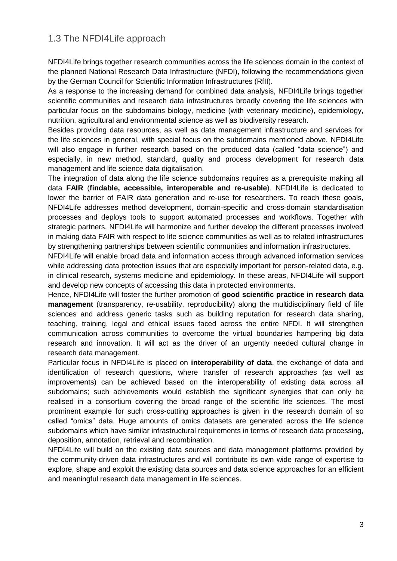### 1.3 The NFDI4Life approach

NFDI4Life brings together research communities across the life sciences domain in the context of the planned National Research Data Infrastructure (NFDI), following the recommendations given by the German Council for Scientific Information Infrastructures (RfII).

As a response to the increasing demand for combined data analysis, NFDI4Life brings together scientific communities and research data infrastructures broadly covering the life sciences with particular focus on the subdomains biology, medicine (with veterinary medicine), epidemiology, nutrition, agricultural and environmental science as well as biodiversity research.

Besides providing data resources, as well as data management infrastructure and services for the life sciences in general, with special focus on the subdomains mentioned above, NFDI4Life will also engage in further research based on the produced data (called "data science") and especially, in new method, standard, quality and process development for research data management and life science data digitalisation.

The integration of data along the life science subdomains requires as a prerequisite making all data **FAIR** (**findable, accessible, interoperable and re-usable**). NFDI4Life is dedicated to lower the barrier of FAIR data generation and re-use for researchers. To reach these goals, NFDI4Life addresses method development, domain-specific and cross-domain standardisation processes and deploys tools to support automated processes and workflows. Together with strategic partners, NFDI4Life will harmonize and further develop the different processes involved in making data FAIR with respect to life science communities as well as to related infrastructures by strengthening partnerships between scientific communities and information infrastructures.

NFDI4Life will enable broad data and information access through advanced information services while addressing data protection issues that are especially important for person-related data, e.g. in clinical research, systems medicine and epidemiology. In these areas, NFDI4Life will support and develop new concepts of accessing this data in protected environments.

Hence, NFDI4Life will foster the further promotion of **good scientific practice in research data management** (transparency, re-usability, reproducibility) along the multidisciplinary field of life sciences and address generic tasks such as building reputation for research data sharing, teaching, training, legal and ethical issues faced across the entire NFDI. It will strengthen communication across communities to overcome the virtual boundaries hampering big data research and innovation. It will act as the driver of an urgently needed cultural change in research data management.

Particular focus in NFDI4Life is placed on **interoperability of data**, the exchange of data and identification of research questions, where transfer of research approaches (as well as improvements) can be achieved based on the interoperability of existing data across all subdomains; such achievements would establish the significant synergies that can only be realised in a consortium covering the broad range of the scientific life sciences. The most prominent example for such cross-cutting approaches is given in the research domain of so called "omics" data. Huge amounts of omics datasets are generated across the life science subdomains which have similar infrastructural requirements in terms of research data processing, deposition, annotation, retrieval and recombination.

NFDI4Life will build on the existing data sources and data management platforms provided by the community-driven data infrastructures and will contribute its own wide range of expertise to explore, shape and exploit the existing data sources and data science approaches for an efficient and meaningful research data management in life sciences.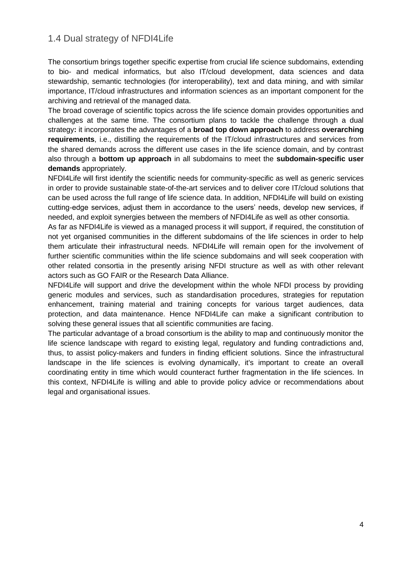### 1.4 Dual strategy of NFDI4Life

The consortium brings together specific expertise from crucial life science subdomains, extending to bio- and medical informatics, but also IT/cloud development, data sciences and data stewardship, semantic technologies (for interoperability), text and data mining, and with similar importance, IT/cloud infrastructures and information sciences as an important component for the archiving and retrieval of the managed data.

The broad coverage of scientific topics across the life science domain provides opportunities and challenges at the same time. The consortium plans to tackle the challenge through a dual strategy**:** it incorporates the advantages of a **broad top down approach** to address **overarching requirements**, i.e., distilling the requirements of the IT/cloud infrastructures and services from the shared demands across the different use cases in the life science domain, and by contrast also through a **bottom up approach** in all subdomains to meet the **subdomain-specific user demands** appropriately.

NFDI4Life will first identify the scientific needs for community-specific as well as generic services in order to provide sustainable state-of-the-art services and to deliver core IT/cloud solutions that can be used across the full range of life science data. In addition, NFDI4Life will build on existing cutting-edge services, adjust them in accordance to the users' needs, develop new services, if needed, and exploit synergies between the members of NFDI4Life as well as other consortia.

As far as NFDI4Life is viewed as a managed process it will support, if required, the constitution of not yet organised communities in the different subdomains of the life sciences in order to help them articulate their infrastructural needs. NFDI4Life will remain open for the involvement of further scientific communities within the life science subdomains and will seek cooperation with other related consortia in the presently arising NFDI structure as well as with other relevant actors such as GO FAIR or the Research Data Alliance.

NFDI4Life will support and drive the development within the whole NFDI process by providing generic modules and services, such as standardisation procedures, strategies for reputation enhancement, training material and training concepts for various target audiences, data protection, and data maintenance. Hence NFDI4Life can make a significant contribution to solving these general issues that all scientific communities are facing.

The particular advantage of a broad consortium is the ability to map and continuously monitor the life science landscape with regard to existing legal, regulatory and funding contradictions and, thus, to assist policy-makers and funders in finding efficient solutions. Since the infrastructural landscape in the life sciences is evolving dynamically, it's important to create an overall coordinating entity in time which would counteract further fragmentation in the life sciences. In this context, NFDI4Life is willing and able to provide policy advice or recommendations about legal and organisational issues.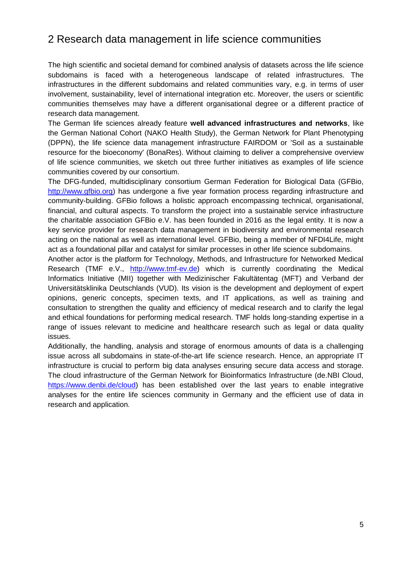## 2 Research data management in life science communities

The high scientific and societal demand for combined analysis of datasets across the life science subdomains is faced with a heterogeneous landscape of related infrastructures. The infrastructures in the different subdomains and related communities vary, e.g. in terms of user involvement, sustainability, level of international integration etc. Moreover, the users or scientific communities themselves may have a different organisational degree or a different practice of research data management.

The German life sciences already feature **well advanced infrastructures and networks**, like the German National Cohort (NAKO Health Study), the German Network for Plant Phenotyping (DPPN), the life science data management infrastructure FAIRDOM or 'Soil as a sustainable resource for the bioeconomy' (BonaRes). Without claiming to deliver a comprehensive overview of life science communities, we sketch out three further initiatives as examples of life science communities covered by our consortium.

The DFG-funded, multidisciplinary consortium German Federation for Biological Data (GFBio, [http://www.gfbio.org\)](http://www.gfbio.org/) has undergone a five year formation process regarding infrastructure and community-building. GFBio follows a holistic approach encompassing technical, organisational, financial, and cultural aspects. To transform the project into a sustainable service infrastructure the charitable association GFBio e.V. has been founded in 2016 as the legal entity. It is now a key service provider for research data management in biodiversity and environmental research acting on the national as well as international level. GFBio, being a member of NFDI4Life, might act as a foundational pillar and catalyst for similar processes in other life science subdomains.

Another actor is the platform for Technology, Methods, and Infrastructure for Networked Medical Research (TMF e.V., [http://www.tmf-ev.de\)](http://www.tmf-ev.de/) which is currently coordinating the Medical Informatics Initiative (MII) together with Medizinischer Fakultätentag (MFT) and Verband der Universitätsklinika Deutschlands (VUD). Its vision is the development and deployment of expert opinions, generic concepts, specimen texts, and IT applications, as well as training and consultation to strengthen the quality and efficiency of medical research and to clarify the legal and ethical foundations for performing medical research. TMF holds long-standing expertise in a range of issues relevant to medicine and healthcare research such as legal or data quality issues.

Additionally, the handling, analysis and storage of enormous amounts of data is a challenging issue across all subdomains in state-of-the-art life science research. Hence, an appropriate IT infrastructure is crucial to perform big data analyses ensuring secure data access and storage. The cloud infrastructure of the German Network for Bioinformatics Infrastructure (de.NBI Cloud, [https://www.denbi.de/cloud\)](https://www.denbi.de/cloud) has been established over the last years to enable integrative analyses for the entire life sciences community in Germany and the efficient use of data in research and application.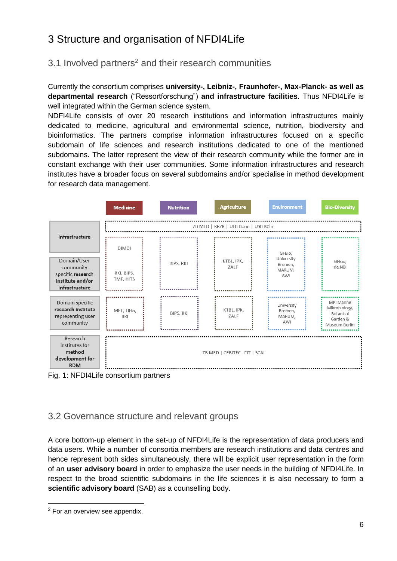## 3 Structure and organisation of NFDI4Life

#### 3.1 Involved partners<sup>2</sup> and their research communities

Currently the consortium comprises **university-, Leibniz-, Fraunhofer-, Max-Planck- as well as departmental research** ("Ressortforschung") **and infrastructure facilities**. Thus NFDI4Life is well integrated within the German science system.

NDFI4Life consists of over 20 research institutions and information infrastructures mainly dedicated to medicine, agricultural and environmental science, nutrition, biodiversity and bioinformatics. The partners comprise information infrastructures focused on a specific subdomain of life sciences and research institutions dedicated to one of the mentioned subdomains. The latter represent the view of their research community while the former are in constant exchange with their user communities. Some information infrastructures and research institutes have a broader focus on several subdomains and/or specialise in method development for research data management.



Fig. 1: NFDI4Life consortium partners

#### 3.2 Governance structure and relevant groups

A core bottom-up element in the set-up of NFDI4Life is the representation of data producers and data users. While a number of consortia members are research institutions and data centres and hence represent both sides simultaneously, there will be explicit user representation in the form of an **user advisory board** in order to emphasize the user needs in the building of NFDI4Life. In respect to the broad scientific subdomains in the life sciences it is also necessary to form a **scientific advisory board** (SAB) as a counselling body.

-

<sup>2</sup> For an overview see appendix.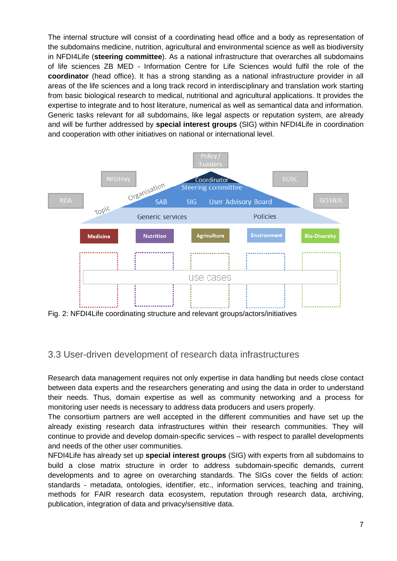The internal structure will consist of a coordinating head office and a body as representation of the subdomains medicine, nutrition, agricultural and environmental science as well as biodiversity in NFDI4Life (**steering committee**). As a national infrastructure that overarches all subdomains of life sciences ZB MED - Information Centre for Life Sciences would fulfil the role of the **coordinator** (head office). It has a strong standing as a national infrastructure provider in all areas of the life sciences and a long track record in interdisciplinary and translation work starting from basic biological research to medical, nutritional and agricultural applications. It provides the expertise to integrate and to host literature, numerical as well as semantical data and information. Generic tasks relevant for all subdomains, like legal aspects or reputation system, are already and will be further addressed by **special interest groups** (SIG) within NFDI4Life in coordination and cooperation with other initiatives on national or international level.



Fig. 2: NFDI4Life coordinating structure and relevant groups/actors/initiatives

#### 3.3 User-driven development of research data infrastructures

Research data management requires not only expertise in data handling but needs close contact between data experts and the researchers generating and using the data in order to understand their needs. Thus, domain expertise as well as community networking and a process for monitoring user needs is necessary to address data producers and users properly.

The consortium partners are well accepted in the different communities and have set up the already existing research data infrastructures within their research communities. They will continue to provide and develop domain-specific services – with respect to parallel developments and needs of the other user communities.

NFDI4Life has already set up **special interest groups** (SIG) with experts from all subdomains to build a close matrix structure in order to address subdomain-specific demands, current developments and to agree on overarching standards. The SIGs cover the fields of action: standards - metadata, ontologies, identifier, etc., information services, teaching and training, methods for FAIR research data ecosystem, reputation through research data, archiving, publication, integration of data and privacy/sensitive data.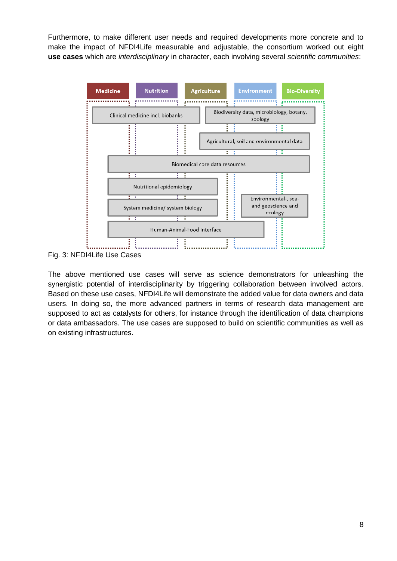Furthermore, to make different user needs and required developments more concrete and to make the impact of NFDI4Life measurable and adjustable, the consortium worked out eight **use cases** which are *interdisciplinary* in character, each involving several *scientific communities*:



Fig. 3: NFDI4Life Use Cases

The above mentioned use cases will serve as science demonstrators for unleashing the synergistic potential of interdisciplinarity by triggering collaboration between involved actors. Based on these use cases, NFDI4Life will demonstrate the added value for data owners and data users. In doing so, the more advanced partners in terms of research data management are supposed to act as catalysts for others, for instance through the identification of data champions or data ambassadors. The use cases are supposed to build on scientific communities as well as on existing infrastructures.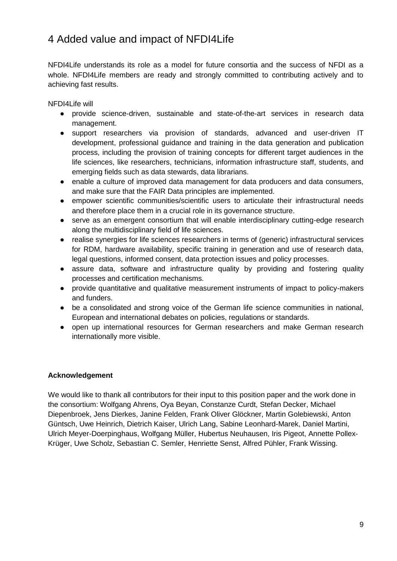## 4 Added value and impact of NFDI4Life

NFDI4Life understands its role as a model for future consortia and the success of NFDI as a whole. NFDI4Life members are ready and strongly committed to contributing actively and to achieving fast results.

NFDI4Life will

- provide science-driven, sustainable and state-of-the-art services in research data management.
- support researchers via provision of standards, advanced and user-driven IT development, professional guidance and training in the data generation and publication process, including the provision of training concepts for different target audiences in the life sciences, like researchers, technicians, information infrastructure staff, students, and emerging fields such as data stewards, data librarians.
- enable a culture of improved data management for data producers and data consumers, and make sure that the FAIR Data principles are implemented.
- empower scientific communities/scientific users to articulate their infrastructural needs and therefore place them in a crucial role in its governance structure.
- serve as an emergent consortium that will enable interdisciplinary cutting-edge research along the multidisciplinary field of life sciences.
- realise synergies for life sciences researchers in terms of (generic) infrastructural services for RDM, hardware availability, specific training in generation and use of research data, legal questions, informed consent, data protection issues and policy processes.
- assure data, software and infrastructure quality by providing and fostering quality processes and certification mechanisms.
- provide quantitative and qualitative measurement instruments of impact to policy-makers and funders.
- be a consolidated and strong voice of the German life science communities in national, European and international debates on policies, regulations or standards.
- open up international resources for German researchers and make German research internationally more visible.

#### **Acknowledgement**

We would like to thank all contributors for their input to this position paper and the work done in the consortium: Wolfgang Ahrens, Oya Beyan, Constanze Curdt, Stefan Decker, Michael Diepenbroek, Jens Dierkes, Janine Felden, Frank Oliver Glöckner, Martin Golebiewski, Anton Güntsch, Uwe Heinrich, Dietrich Kaiser, Ulrich Lang, Sabine Leonhard-Marek, Daniel Martini, Ulrich Meyer-Doerpinghaus, Wolfgang Müller, Hubertus Neuhausen, Iris Pigeot, Annette Pollex-Krüger, Uwe Scholz, Sebastian C. Semler, Henriette Senst, Alfred Pühler, Frank Wissing.